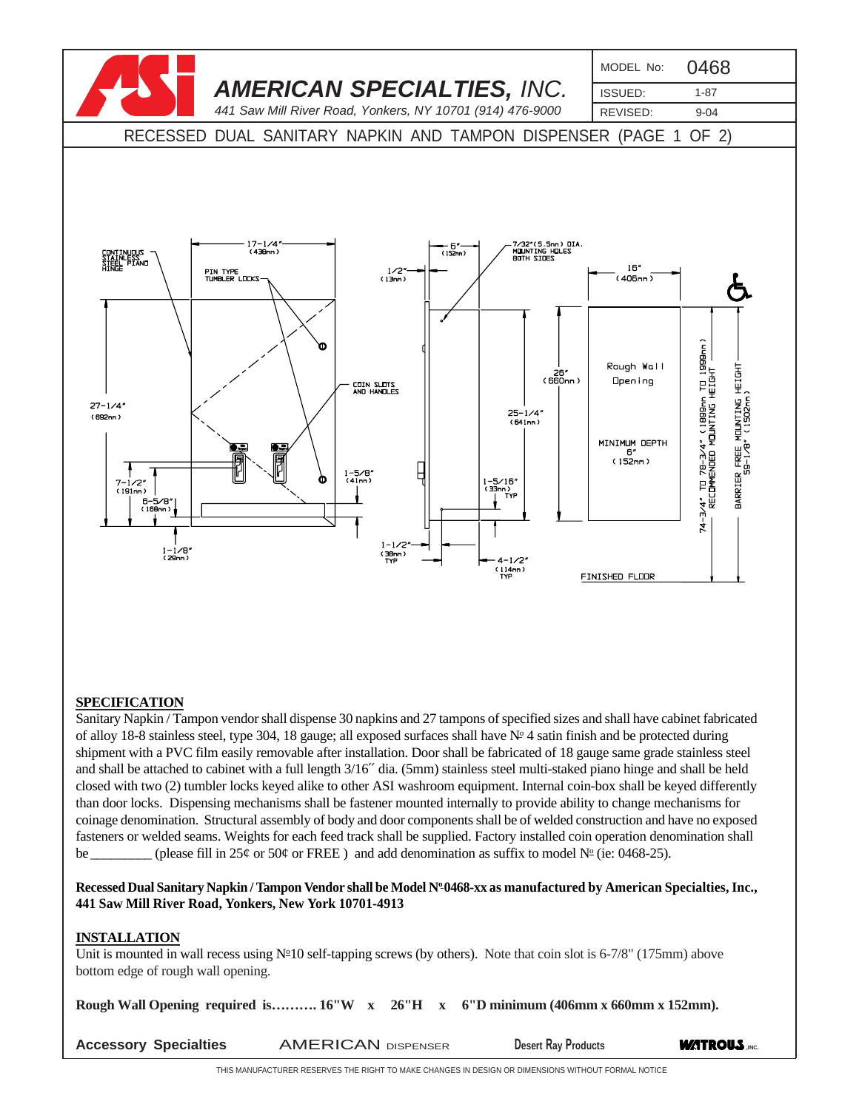

# **SPECIFICATION**

Sanitary Napkin / Tampon vendor shall dispense 30 napkins and 27 tampons of specified sizes and shall have cabinet fabricated of alloy 18-8 stainless steel, type 304, 18 gauge; all exposed surfaces shall have  $N<sup>o</sup>$  4 satin finish and be protected during shipment with a PVC film easily removable after installation. Door shall be fabricated of 18 gauge same grade stainless steel and shall be attached to cabinet with a full length 3/16′′ dia. (5mm) stainless steel multi-staked piano hinge and shall be held closed with two (2) tumbler locks keyed alike to other ASI washroom equipment. Internal coin-box shall be keyed differently than door locks. Dispensing mechanisms shall be fastener mounted internally to provide ability to change mechanisms for coinage denomination. Structural assembly of body and door components shall be of welded construction and have no exposed fasteners or welded seams. Weights for each feed track shall be supplied. Factory installed coin operation denomination shall be \_\_\_\_\_\_\_\_ (please fill in 25¢ or 50¢ or FREE ) and add denomination as suffix to model  $N^{\circ}$  (ie: 0468-25).

Recessed Dual Sanitary Napkin / Tampon Vendor shall be Model N<sup>o</sup> 0468-xx as manufactured by American Specialties, Inc., **441 Saw Mill River Road, Yonkers, New York 10701-4913**

### **INSTALLATION**

Unit is mounted in wall recess using  $N<sup>2</sup>10$  self-tapping screws (by others). Note that coin slot is 6-7/8" (175mm) above bottom edge of rough wall opening.

**Rough Wall Opening required is………. 16"W x 26"H x 6"D minimum (406mm x 660mm x 152mm).**